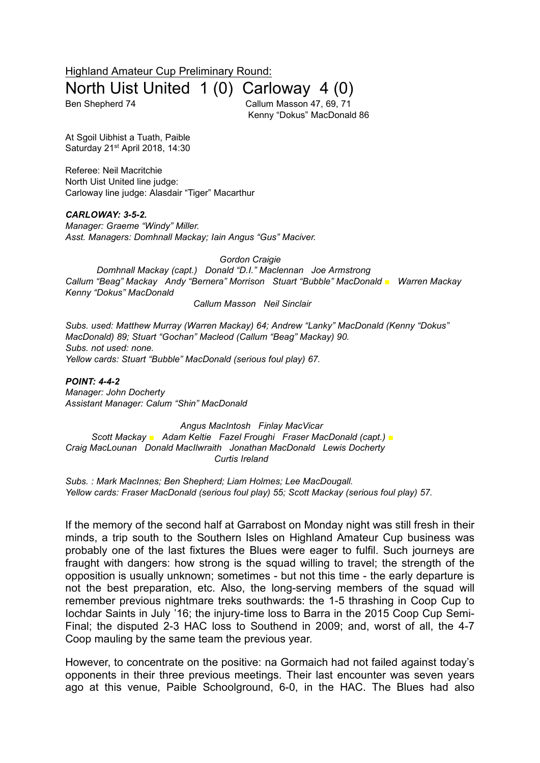Highland Amateur Cup Preliminary Round: North Uist United 1 (0) Carloway 4 (0)

Ben Shepherd 74 Callum Masson 47, 69, 71 Kenny "Dokus" MacDonald 86

At Sgoil Uibhist a Tuath, Paible Saturday 21<sup>st</sup> April 2018, 14:30

Referee: Neil Macritchie North Uist United line judge: Carloway line judge: Alasdair "Tiger" Macarthur

## *CARLOWAY: 3-5-2.*

*Manager: Graeme "Windy" Miller. Asst. Managers: Domhnall Mackay; Iain Angus "Gus" Maciver.*

*Gordon Craigie*

*Domhnall Mackay (capt.) Donald "D.I." Maclennan Joe Armstrong Callum "Beag" Mackay Andy "Bernera" Morrison Stuart "Bubble" MacDonald ■ Warren Mackay Kenny "Dokus" MacDonald*

*Callum Masson Neil Sinclair*

*Subs. used: Matthew Murray (Warren Mackay) 64; Andrew "Lanky" MacDonald (Kenny "Dokus" MacDonald) 89; Stuart "Gochan" Macleod (Callum "Beag" Mackay) 90. Subs. not used: none. Yellow cards: Stuart "Bubble" MacDonald (serious foul play) 67.*

*POINT: 4-4-2 Manager: John Docherty Assistant Manager: Calum "Shin" MacDonald*

*Angus MacIntosh Finlay MacVicar Scott Mackay ■ Adam Keltie Fazel Froughi Fraser MacDonald (capt.) ■ Craig MacLounan Donald MacIlwraith Jonathan MacDonald Lewis Docherty Curtis Ireland*

*Subs. : Mark MacInnes; Ben Shepherd; Liam Holmes; Lee MacDougall. Yellow cards: Fraser MacDonald (serious foul play) 55; Scott Mackay (serious foul play) 57.*

If the memory of the second half at Garrabost on Monday night was still fresh in their minds, a trip south to the Southern Isles on Highland Amateur Cup business was probably one of the last fixtures the Blues were eager to fulfil. Such journeys are fraught with dangers: how strong is the squad willing to travel; the strength of the opposition is usually unknown; sometimes - but not this time - the early departure is not the best preparation, etc. Also, the long-serving members of the squad will remember previous nightmare treks southwards: the 1-5 thrashing in Coop Cup to Iochdar Saints in July '16; the injury-time loss to Barra in the 2015 Coop Cup Semi-Final; the disputed 2-3 HAC loss to Southend in 2009; and, worst of all, the 4-7 Coop mauling by the same team the previous year.

However, to concentrate on the positive: na Gormaich had not failed against today's opponents in their three previous meetings. Their last encounter was seven years ago at this venue, Paible Schoolground, 6-0, in the HAC. The Blues had also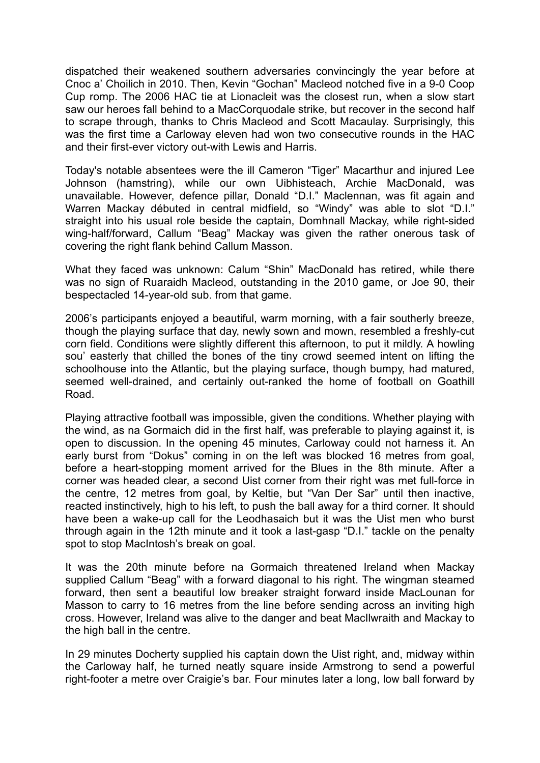dispatched their weakened southern adversaries convincingly the year before at Cnoc a' Choilich in 2010. Then, Kevin "Gochan" Macleod notched five in a 9-0 Coop Cup romp. The 2006 HAC tie at Lionacleit was the closest run, when a slow start saw our heroes fall behind to a MacCorquodale strike, but recover in the second half to scrape through, thanks to Chris Macleod and Scott Macaulay. Surprisingly, this was the first time a Carloway eleven had won two consecutive rounds in the HAC and their first-ever victory out-with Lewis and Harris.

Today's notable absentees were the ill Cameron "Tiger" Macarthur and injured Lee Johnson (hamstring), while our own Uibhisteach, Archie MacDonald, was unavailable. However, defence pillar, Donald "D.I." Maclennan, was fit again and Warren Mackay débuted in central midfield, so "Windy" was able to slot "D.I." straight into his usual role beside the captain, Domhnall Mackay, while right-sided wing-half/forward, Callum "Beag" Mackay was given the rather onerous task of covering the right flank behind Callum Masson.

What they faced was unknown: Calum "Shin" MacDonald has retired, while there was no sign of Ruaraidh Macleod, outstanding in the 2010 game, or Joe 90, their bespectacled 14-year-old sub. from that game.

2006's participants enjoyed a beautiful, warm morning, with a fair southerly breeze, though the playing surface that day, newly sown and mown, resembled a freshly-cut corn field. Conditions were slightly different this afternoon, to put it mildly. A howling sou' easterly that chilled the bones of the tiny crowd seemed intent on lifting the schoolhouse into the Atlantic, but the playing surface, though bumpy, had matured, seemed well-drained, and certainly out-ranked the home of football on Goathill Road.

Playing attractive football was impossible, given the conditions. Whether playing with the wind, as na Gormaich did in the first half, was preferable to playing against it, is open to discussion. In the opening 45 minutes, Carloway could not harness it. An early burst from "Dokus" coming in on the left was blocked 16 metres from goal, before a heart-stopping moment arrived for the Blues in the 8th minute. After a corner was headed clear, a second Uist corner from their right was met full-force in the centre, 12 metres from goal, by Keltie, but "Van Der Sar" until then inactive, reacted instinctively, high to his left, to push the ball away for a third corner. It should have been a wake-up call for the Leodhasaich but it was the Uist men who burst through again in the 12th minute and it took a last-gasp "D.I." tackle on the penalty spot to stop MacIntosh's break on goal.

It was the 20th minute before na Gormaich threatened Ireland when Mackay supplied Callum "Beag" with a forward diagonal to his right. The wingman steamed forward, then sent a beautiful low breaker straight forward inside MacLounan for Masson to carry to 16 metres from the line before sending across an inviting high cross. However, Ireland was alive to the danger and beat MacIlwraith and Mackay to the high ball in the centre.

In 29 minutes Docherty supplied his captain down the Uist right, and, midway within the Carloway half, he turned neatly square inside Armstrong to send a powerful right-footer a metre over Craigie's bar. Four minutes later a long, low ball forward by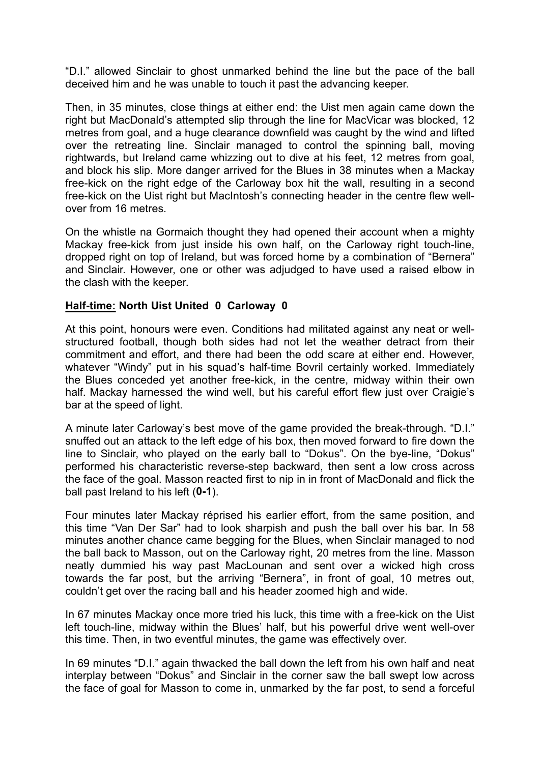"D.I." allowed Sinclair to ghost unmarked behind the line but the pace of the ball deceived him and he was unable to touch it past the advancing keeper.

Then, in 35 minutes, close things at either end: the Uist men again came down the right but MacDonald's attempted slip through the line for MacVicar was blocked, 12 metres from goal, and a huge clearance downfield was caught by the wind and lifted over the retreating line. Sinclair managed to control the spinning ball, moving rightwards, but Ireland came whizzing out to dive at his feet, 12 metres from goal, and block his slip. More danger arrived for the Blues in 38 minutes when a Mackay free-kick on the right edge of the Carloway box hit the wall, resulting in a second free-kick on the Uist right but MacIntosh's connecting header in the centre flew wellover from 16 metres.

On the whistle na Gormaich thought they had opened their account when a mighty Mackay free-kick from just inside his own half, on the Carloway right touch-line, dropped right on top of Ireland, but was forced home by a combination of "Bernera" and Sinclair. However, one or other was adjudged to have used a raised elbow in the clash with the keeper.

## **Half-time: North Uist United 0 Carloway 0**

At this point, honours were even. Conditions had militated against any neat or wellstructured football, though both sides had not let the weather detract from their commitment and effort, and there had been the odd scare at either end. However, whatever "Windy" put in his squad's half-time Bovril certainly worked. Immediately the Blues conceded yet another free-kick, in the centre, midway within their own half. Mackay harnessed the wind well, but his careful effort flew just over Craigie's bar at the speed of light.

A minute later Carloway's best move of the game provided the break-through. "D.I." snuffed out an attack to the left edge of his box, then moved forward to fire down the line to Sinclair, who played on the early ball to "Dokus". On the bye-line, "Dokus" performed his characteristic reverse-step backward, then sent a low cross across the face of the goal. Masson reacted first to nip in in front of MacDonald and flick the ball past Ireland to his left (**0-1**).

Four minutes later Mackay réprised his earlier effort, from the same position, and this time "Van Der Sar" had to look sharpish and push the ball over his bar. In 58 minutes another chance came begging for the Blues, when Sinclair managed to nod the ball back to Masson, out on the Carloway right, 20 metres from the line. Masson neatly dummied his way past MacLounan and sent over a wicked high cross towards the far post, but the arriving "Bernera", in front of goal, 10 metres out, couldn't get over the racing ball and his header zoomed high and wide.

In 67 minutes Mackay once more tried his luck, this time with a free-kick on the Uist left touch-line, midway within the Blues' half, but his powerful drive went well-over this time. Then, in two eventful minutes, the game was effectively over.

In 69 minutes "D.I." again thwacked the ball down the left from his own half and neat interplay between "Dokus" and Sinclair in the corner saw the ball swept low across the face of goal for Masson to come in, unmarked by the far post, to send a forceful